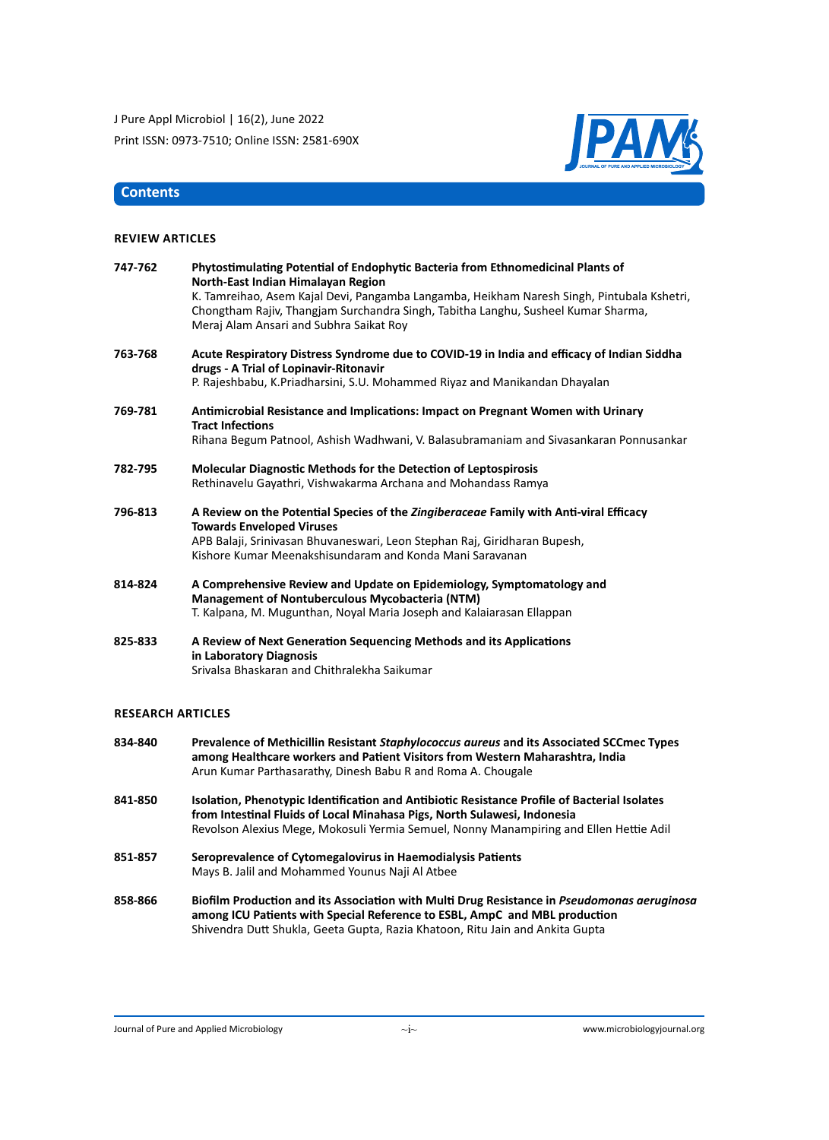

#### **Contents**

#### **Review Articles**

| 747-762 | Phytostimulating Potential of Endophytic Bacteria from Ethnomedicinal Plants of<br>North-East Indian Himalayan Region                                                                                                      |  |
|---------|----------------------------------------------------------------------------------------------------------------------------------------------------------------------------------------------------------------------------|--|
|         | K. Tamreihao, Asem Kajal Devi, Pangamba Langamba, Heikham Naresh Singh, Pintubala Kshetri,<br>Chongtham Rajiv, Thangjam Surchandra Singh, Tabitha Langhu, Susheel Kumar Sharma,<br>Meraj Alam Ansari and Subhra Saikat Roy |  |
| 763-768 | Acute Respiratory Distress Syndrome due to COVID-19 in India and efficacy of Indian Siddha<br>drugs - A Trial of Lopinavir-Ritonavir                                                                                       |  |
|         | P. Rajeshbabu, K.Priadharsini, S.U. Mohammed Riyaz and Manikandan Dhayalan                                                                                                                                                 |  |
| 769-781 | Antimicrobial Resistance and Implications: Impact on Pregnant Women with Urinary<br><b>Tract Infections</b>                                                                                                                |  |
|         | Rihana Begum Patnool, Ashish Wadhwani, V. Balasubramaniam and Sivasankaran Ponnusankar                                                                                                                                     |  |
| 782-795 | <b>Molecular Diagnostic Methods for the Detection of Leptospirosis</b>                                                                                                                                                     |  |
|         | Rethinavelu Gayathri, Vishwakarma Archana and Mohandass Ramya                                                                                                                                                              |  |
| 796-813 | A Review on the Potential Species of the Zingiberaceae Family with Anti-viral Efficacy<br><b>Towards Enveloped Viruses</b>                                                                                                 |  |
|         | APB Balaji, Srinivasan Bhuvaneswari, Leon Stephan Raj, Giridharan Bupesh,<br>Kishore Kumar Meenakshisundaram and Konda Mani Saravanan                                                                                      |  |
| 814-824 | A Comprehensive Review and Update on Epidemiology, Symptomatology and<br><b>Management of Nontuberculous Mycobacteria (NTM)</b>                                                                                            |  |
|         | T. Kalpana, M. Mugunthan, Noyal Maria Joseph and Kalaiarasan Ellappan                                                                                                                                                      |  |
| 825-833 | A Review of Next Generation Sequencing Methods and its Applications<br>in Laboratory Diagnosis                                                                                                                             |  |
|         | Srivalsa Bhaskaran and Chithralekha Saikumar                                                                                                                                                                               |  |
|         |                                                                                                                                                                                                                            |  |

#### **Research Articles**

| 834-840 | Prevalence of Methicillin Resistant Staphylococcus aureus and its Associated SCCmec Types<br>among Healthcare workers and Patient Visitors from Western Maharashtra, India                                                                                         |
|---------|--------------------------------------------------------------------------------------------------------------------------------------------------------------------------------------------------------------------------------------------------------------------|
|         | Arun Kumar Parthasarathy, Dinesh Babu R and Roma A. Chougale                                                                                                                                                                                                       |
| 841-850 | Isolation, Phenotypic Identification and Antibiotic Resistance Profile of Bacterial Isolates<br>from Intestinal Fluids of Local Minahasa Pigs, North Sulawesi, Indonesia<br>Revolson Alexius Mege, Mokosuli Yermia Semuel, Nonny Manampiring and Ellen Hettie Adil |
| 851-857 | Seroprevalence of Cytomegalovirus in Haemodialysis Patients                                                                                                                                                                                                        |
|         | Mays B. Jalil and Mohammed Younus Naji Al Atbee                                                                                                                                                                                                                    |
| 858-866 | Biofilm Production and its Association with Multi Drug Resistance in <i>Pseudomonas geruginos</i>                                                                                                                                                                  |

**858-866 Biofilm Production and its Association with Multi Drug Resistance in** *Pseudomonas aeruginosa*  **among ICU Patients with Special Reference to ESBL, AmpC and MBL production** Shivendra Dutt Shukla, Geeta Gupta, Razia Khatoon, Ritu Jain and Ankita Gupta

Journal of Pure and Applied Microbiology www.microbiologyjournal.org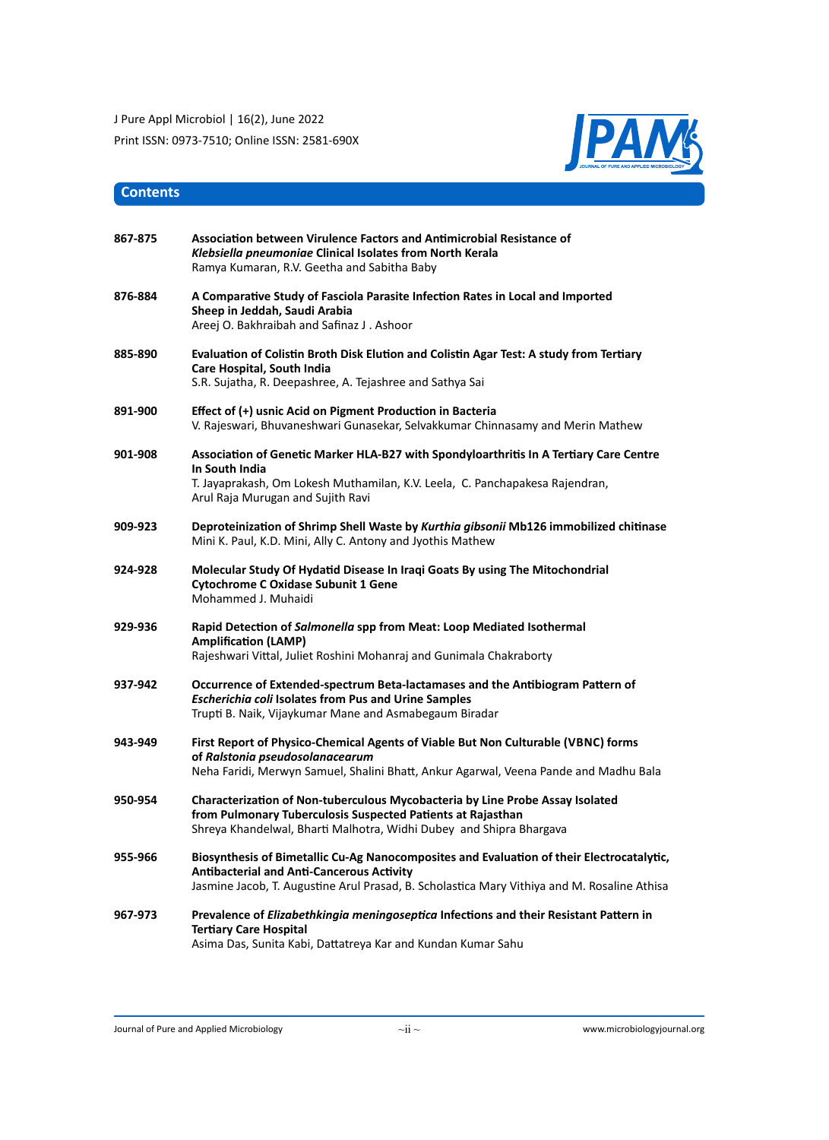

# **Contents**

| 867-875 | Association between Virulence Factors and Antimicrobial Resistance of<br>Klebsiella pneumoniae Clinical Isolates from North Kerala<br>Ramya Kumaran, R.V. Geetha and Sabitha Baby                                                            |
|---------|----------------------------------------------------------------------------------------------------------------------------------------------------------------------------------------------------------------------------------------------|
| 876-884 | A Comparative Study of Fasciola Parasite Infection Rates in Local and Imported<br>Sheep in Jeddah, Saudi Arabia<br>Areej O. Bakhraibah and Safinaz J. Ashoor                                                                                 |
| 885-890 | Evaluation of Colistin Broth Disk Elution and Colistin Agar Test: A study from Tertiary<br>Care Hospital, South India<br>S.R. Sujatha, R. Deepashree, A. Tejashree and Sathya Sai                                                            |
| 891-900 | Effect of (+) usnic Acid on Pigment Production in Bacteria<br>V. Rajeswari, Bhuvaneshwari Gunasekar, Selvakkumar Chinnasamy and Merin Mathew                                                                                                 |
| 901-908 | Association of Genetic Marker HLA-B27 with Spondyloarthritis In A Tertiary Care Centre<br>In South India<br>T. Jayaprakash, Om Lokesh Muthamilan, K.V. Leela, C. Panchapakesa Rajendran,<br>Arul Raja Murugan and Sujith Ravi                |
| 909-923 | Deproteinization of Shrimp Shell Waste by Kurthia gibsonii Mb126 immobilized chitinase<br>Mini K. Paul, K.D. Mini, Ally C. Antony and Jyothis Mathew                                                                                         |
| 924-928 | Molecular Study Of Hydatid Disease In Iraqi Goats By using The Mitochondrial<br><b>Cytochrome C Oxidase Subunit 1 Gene</b><br>Mohammed J. Muhaidi                                                                                            |
| 929-936 | Rapid Detection of Salmonella spp from Meat: Loop Mediated Isothermal<br><b>Amplification (LAMP)</b><br>Rajeshwari Vittal, Juliet Roshini Mohanraj and Gunimala Chakraborty                                                                  |
| 937-942 | Occurrence of Extended-spectrum Beta-lactamases and the Antibiogram Pattern of<br><b>Escherichia coli Isolates from Pus and Urine Samples</b><br>Trupti B. Naik, Vijaykumar Mane and Asmabegaum Biradar                                      |
| 943-949 | First Report of Physico-Chemical Agents of Viable But Non Culturable (VBNC) forms<br>of Ralstonia pseudosolanacearum<br>Neha Faridi, Merwyn Samuel, Shalini Bhatt, Ankur Agarwal, Veena Pande and Madhu Bala                                 |
| 950-954 | Characterization of Non-tuberculous Mycobacteria by Line Probe Assay Isolated<br>from Pulmonary Tuberculosis Suspected Patients at Rajasthan<br>Shreya Khandelwal, Bharti Malhotra, Widhi Dubey and Shipra Bhargava                          |
| 955-966 | Biosynthesis of Bimetallic Cu-Ag Nanocomposites and Evaluation of their Electrocatalytic,<br><b>Antibacterial and Anti-Cancerous Activity</b><br>Jasmine Jacob, T. Augustine Arul Prasad, B. Scholastica Mary Vithiya and M. Rosaline Athisa |
| 967-973 | Prevalence of <i>Elizabethkingia meningoseptica</i> Infections and their Resistant Pattern in<br><b>Tertiary Care Hospital</b><br>Asima Das, Sunita Kabi, Dattatreya Kar and Kundan Kumar Sahu                                               |

Journal of Pure and Applied Microbiology  $\sim$ ii $\sim$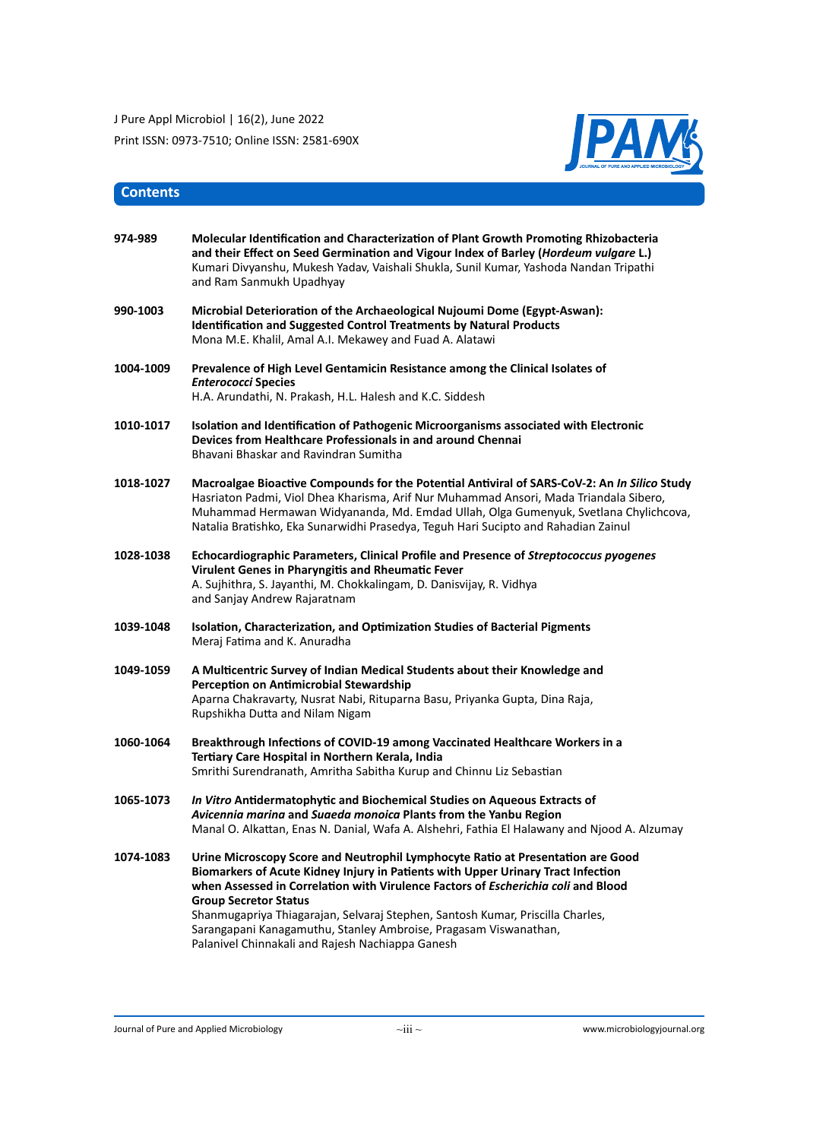

# **Contents**

| 974-989   | Molecular Identification and Characterization of Plant Growth Promoting Rhizobacteria<br>and their Effect on Seed Germination and Vigour Index of Barley ( <i>Hordeum vulgare L.</i> )<br>Kumari Divyanshu, Mukesh Yadav, Vaishali Shukla, Sunil Kumar, Yashoda Nandan Tripathi<br>and Ram Sanmukh Upadhyay                                                                                                                                                                                        |
|-----------|----------------------------------------------------------------------------------------------------------------------------------------------------------------------------------------------------------------------------------------------------------------------------------------------------------------------------------------------------------------------------------------------------------------------------------------------------------------------------------------------------|
| 990-1003  | Microbial Deterioration of the Archaeological Nujoumi Dome (Egypt-Aswan):<br><b>Identification and Suggested Control Treatments by Natural Products</b><br>Mona M.E. Khalil, Amal A.I. Mekawey and Fuad A. Alatawi                                                                                                                                                                                                                                                                                 |
| 1004-1009 | Prevalence of High Level Gentamicin Resistance among the Clinical Isolates of<br><b>Enterococci Species</b><br>H.A. Arundathi, N. Prakash, H.L. Halesh and K.C. Siddesh                                                                                                                                                                                                                                                                                                                            |
| 1010-1017 | Isolation and Identification of Pathogenic Microorganisms associated with Electronic<br>Devices from Healthcare Professionals in and around Chennai<br>Bhavani Bhaskar and Ravindran Sumitha                                                                                                                                                                                                                                                                                                       |
| 1018-1027 | Macroalgae Bioactive Compounds for the Potential Antiviral of SARS-CoV-2: An In Silico Study<br>Hasriaton Padmi, Viol Dhea Kharisma, Arif Nur Muhammad Ansori, Mada Triandala Sibero,<br>Muhammad Hermawan Widyananda, Md. Emdad Ullah, Olga Gumenyuk, Svetlana Chylichcova,<br>Natalia Bratishko, Eka Sunarwidhi Prasedya, Teguh Hari Sucipto and Rahadian Zainul                                                                                                                                 |
| 1028-1038 | Echocardiographic Parameters, Clinical Profile and Presence of Streptococcus pyogenes<br>Virulent Genes in Pharyngitis and Rheumatic Fever<br>A. Sujhithra, S. Jayanthi, M. Chokkalingam, D. Danisvijay, R. Vidhya<br>and Sanjay Andrew Rajaratnam                                                                                                                                                                                                                                                 |
| 1039-1048 | Isolation, Characterization, and Optimization Studies of Bacterial Pigments<br>Meraj Fatima and K. Anuradha                                                                                                                                                                                                                                                                                                                                                                                        |
| 1049-1059 | A Multicentric Survey of Indian Medical Students about their Knowledge and<br><b>Perception on Antimicrobial Stewardship</b><br>Aparna Chakravarty, Nusrat Nabi, Rituparna Basu, Priyanka Gupta, Dina Raja,<br>Rupshikha Dutta and Nilam Nigam                                                                                                                                                                                                                                                     |
| 1060-1064 | Breakthrough Infections of COVID-19 among Vaccinated Healthcare Workers in a<br>Tertiary Care Hospital in Northern Kerala, India<br>Smrithi Surendranath, Amritha Sabitha Kurup and Chinnu Liz Sebastian                                                                                                                                                                                                                                                                                           |
| 1065-1073 | In Vitro Antidermatophytic and Biochemical Studies on Aqueous Extracts of<br>Avicennia marina and Suaeda monoica Plants from the Yanbu Region<br>Manal O. Alkattan, Enas N. Danial, Wafa A. Alshehri, Fathia El Halawany and Njood A. Alzumay                                                                                                                                                                                                                                                      |
| 1074-1083 | Urine Microscopy Score and Neutrophil Lymphocyte Ratio at Presentation are Good<br>Biomarkers of Acute Kidney Injury in Patients with Upper Urinary Tract Infection<br>when Assessed in Correlation with Virulence Factors of Escherichia coli and Blood<br><b>Group Secretor Status</b><br>Shanmugapriya Thiagarajan, Selvaraj Stephen, Santosh Kumar, Priscilla Charles,<br>Sarangapani Kanagamuthu, Stanley Ambroise, Pragasam Viswanathan,<br>Palanivel Chinnakali and Rajesh Nachiappa Ganesh |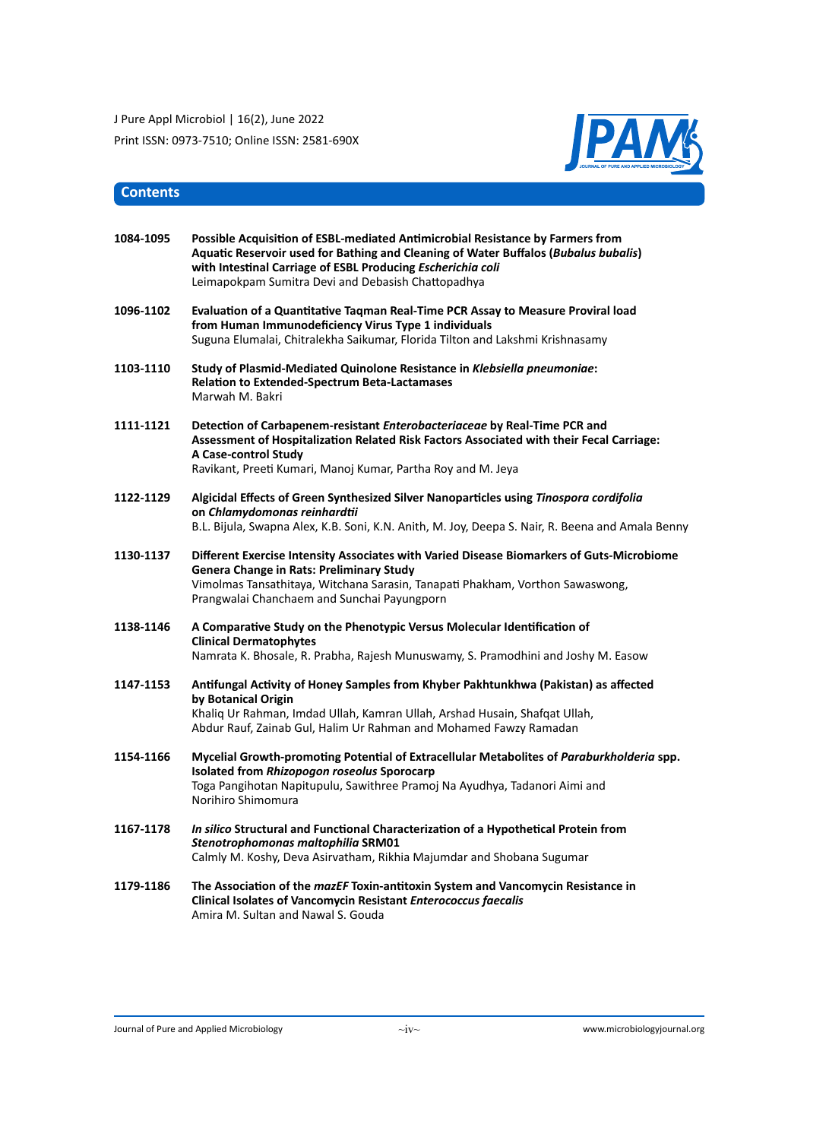

# **Contents**

| 1084-1095 | Possible Acquisition of ESBL-mediated Antimicrobial Resistance by Farmers from<br>Aquatic Reservoir used for Bathing and Cleaning of Water Buffalos (Bubalus bubalis)<br>with Intestinal Carriage of ESBL Producing Escherichia coli<br>Leimapokpam Sumitra Devi and Debasish Chattopadhya |
|-----------|--------------------------------------------------------------------------------------------------------------------------------------------------------------------------------------------------------------------------------------------------------------------------------------------|
| 1096-1102 | Evaluation of a Quantitative Tagman Real-Time PCR Assay to Measure Proviral load<br>from Human Immunodeficiency Virus Type 1 individuals<br>Suguna Elumalai, Chitralekha Saikumar, Florida Tilton and Lakshmi Krishnasamy                                                                  |
| 1103-1110 | Study of Plasmid-Mediated Quinolone Resistance in Klebsiella pneumoniae:<br><b>Relation to Extended-Spectrum Beta-Lactamases</b><br>Marwah M. Bakri                                                                                                                                        |
| 1111-1121 | Detection of Carbapenem-resistant <i>Enterobacteriaceae</i> by Real-Time PCR and<br>Assessment of Hospitalization Related Risk Factors Associated with their Fecal Carriage:<br>A Case-control Study<br>Ravikant, Preeti Kumari, Manoj Kumar, Partha Roy and M. Jeya                       |
| 1122-1129 | Algicidal Effects of Green Synthesized Silver Nanoparticles using Tinospora cordifolia<br>on Chlamydomonas reinhardtii<br>B.L. Bijula, Swapna Alex, K.B. Soni, K.N. Anith, M. Joy, Deepa S. Nair, R. Beena and Amala Benny                                                                 |
| 1130-1137 | Different Exercise Intensity Associates with Varied Disease Biomarkers of Guts-Microbiome<br><b>Genera Change in Rats: Preliminary Study</b><br>Vimolmas Tansathitaya, Witchana Sarasin, Tanapati Phakham, Vorthon Sawaswong,<br>Prangwalai Chanchaem and Sunchai Payungporn               |
| 1138-1146 | A Comparative Study on the Phenotypic Versus Molecular Identification of<br><b>Clinical Dermatophytes</b><br>Namrata K. Bhosale, R. Prabha, Rajesh Munuswamy, S. Pramodhini and Joshy M. Easow                                                                                             |
| 1147-1153 | Antifungal Activity of Honey Samples from Khyber Pakhtunkhwa (Pakistan) as affected<br>by Botanical Origin<br>Khaliq Ur Rahman, Imdad Ullah, Kamran Ullah, Arshad Husain, Shafqat Ullah,<br>Abdur Rauf, Zainab Gul, Halim Ur Rahman and Mohamed Fawzy Ramadan                              |
| 1154-1166 | Mycelial Growth-promoting Potential of Extracellular Metabolites of Paraburkholderia spp.<br>Isolated from Rhizopogon roseolus Sporocarp<br>Toga Pangihotan Napitupulu, Sawithree Pramoj Na Ayudhya, Tadanori Aimi and<br>Norihiro Shimomura                                               |
| 1167-1178 | In silico Structural and Functional Characterization of a Hypothetical Protein from<br>Stenotrophomonas maltophilia SRM01<br>Calmly M. Koshy, Deva Asirvatham, Rikhia Majumdar and Shobana Sugumar                                                                                         |
| 1179-1186 | The Association of the mazEF Toxin-antitoxin System and Vancomycin Resistance in<br>Clinical Isolates of Vancomycin Resistant Enterococcus faecalis<br>Amira M. Sultan and Nawal S. Gouda                                                                                                  |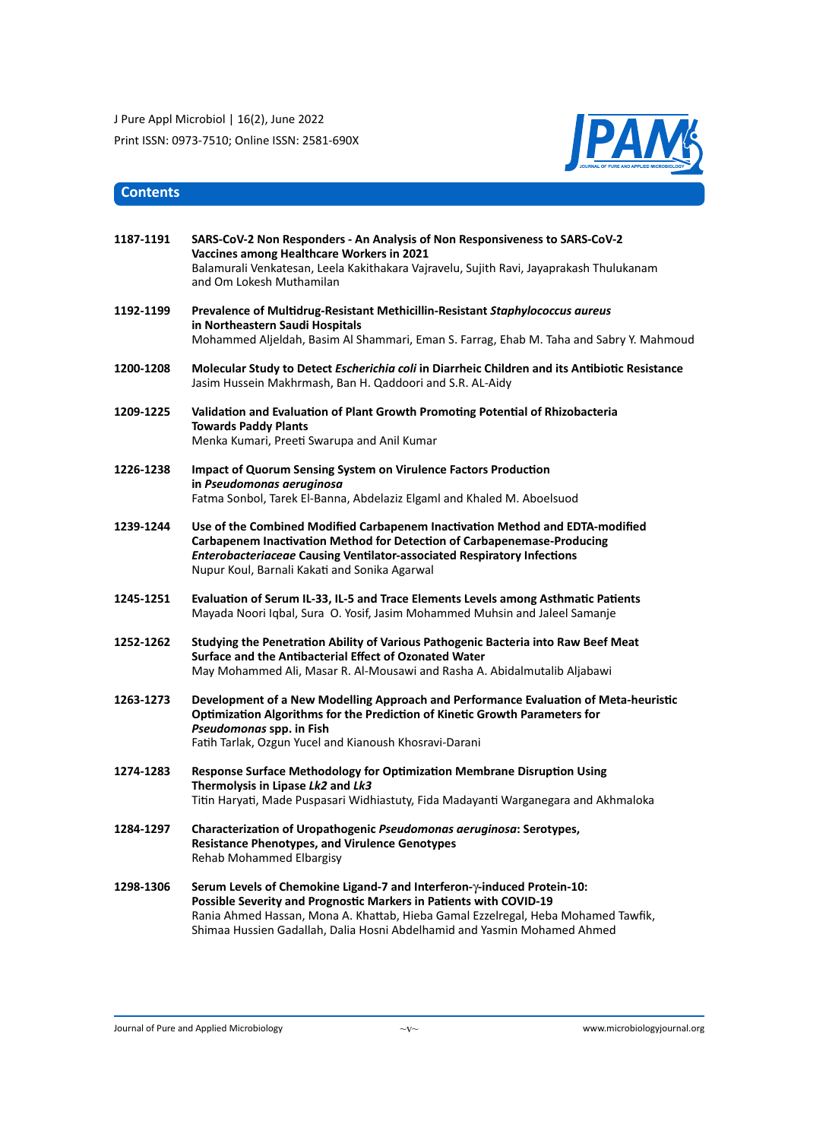

# **Contents**

| 1187-1191 | SARS-CoV-2 Non Responders - An Analysis of Non Responsiveness to SARS-CoV-2<br>Vaccines among Healthcare Workers in 2021<br>Balamurali Venkatesan, Leela Kakithakara Vajravelu, Sujith Ravi, Jayaprakash Thulukanam<br>and Om Lokesh Muthamilan                                                                         |
|-----------|-------------------------------------------------------------------------------------------------------------------------------------------------------------------------------------------------------------------------------------------------------------------------------------------------------------------------|
| 1192-1199 | Prevalence of Multidrug-Resistant Methicillin-Resistant Staphylococcus aureus<br>in Northeastern Saudi Hospitals<br>Mohammed Aljeldah, Basim Al Shammari, Eman S. Farrag, Ehab M. Taha and Sabry Y. Mahmoud                                                                                                             |
| 1200-1208 | Molecular Study to Detect Escherichia coli in Diarrheic Children and its Antibiotic Resistance<br>Jasim Hussein Makhrmash, Ban H. Qaddoori and S.R. AL-Aidy                                                                                                                                                             |
| 1209-1225 | Validation and Evaluation of Plant Growth Promoting Potential of Rhizobacteria<br><b>Towards Paddy Plants</b><br>Menka Kumari, Preeti Swarupa and Anil Kumar                                                                                                                                                            |
| 1226-1238 | <b>Impact of Quorum Sensing System on Virulence Factors Production</b><br>in Pseudomonas aeruginosa<br>Fatma Sonbol, Tarek El-Banna, Abdelaziz Elgaml and Khaled M. Aboelsuod                                                                                                                                           |
| 1239-1244 | Use of the Combined Modified Carbapenem Inactivation Method and EDTA-modified<br>Carbapenem Inactivation Method for Detection of Carbapenemase-Producing<br><b>Enterobacteriaceae Causing Ventilator-associated Respiratory Infections</b><br>Nupur Koul, Barnali Kakati and Sonika Agarwal                             |
| 1245-1251 | Evaluation of Serum IL-33, IL-5 and Trace Elements Levels among Asthmatic Patients<br>Mayada Noori Iqbal, Sura O. Yosif, Jasim Mohammed Muhsin and Jaleel Samanje                                                                                                                                                       |
| 1252-1262 | Studying the Penetration Ability of Various Pathogenic Bacteria into Raw Beef Meat<br>Surface and the Antibacterial Effect of Ozonated Water<br>May Mohammed Ali, Masar R. Al-Mousawi and Rasha A. Abidalmutalib Aljabawi                                                                                               |
| 1263-1273 | Development of a New Modelling Approach and Performance Evaluation of Meta-heuristic<br>Optimization Algorithms for the Prediction of Kinetic Growth Parameters for<br>Pseudomonas spp. in Fish<br>Fatih Tarlak, Ozgun Yucel and Kianoush Khosravi-Darani                                                               |
| 1274-1283 | Response Surface Methodology for Optimization Membrane Disruption Using<br>Thermolysis in Lipase Lk2 and Lk3<br>Titin Haryati, Made Puspasari Widhiastuty, Fida Madayanti Warganegara and Akhmaloka                                                                                                                     |
| 1284-1297 | Characterization of Uropathogenic <i>Pseudomonas geruginosa</i> : Serotypes,<br><b>Resistance Phenotypes, and Virulence Genotypes</b><br><b>Rehab Mohammed Elbargisy</b>                                                                                                                                                |
| 1298-1306 | Serum Levels of Chemokine Ligand-7 and Interferon- $\gamma$ -induced Protein-10:<br>Possible Severity and Prognostic Markers in Patients with COVID-19<br>Rania Ahmed Hassan, Mona A. Khattab, Hieba Gamal Ezzelregal, Heba Mohamed Tawfik,<br>Shimaa Hussien Gadallah, Dalia Hosni Abdelhamid and Yasmin Mohamed Ahmed |